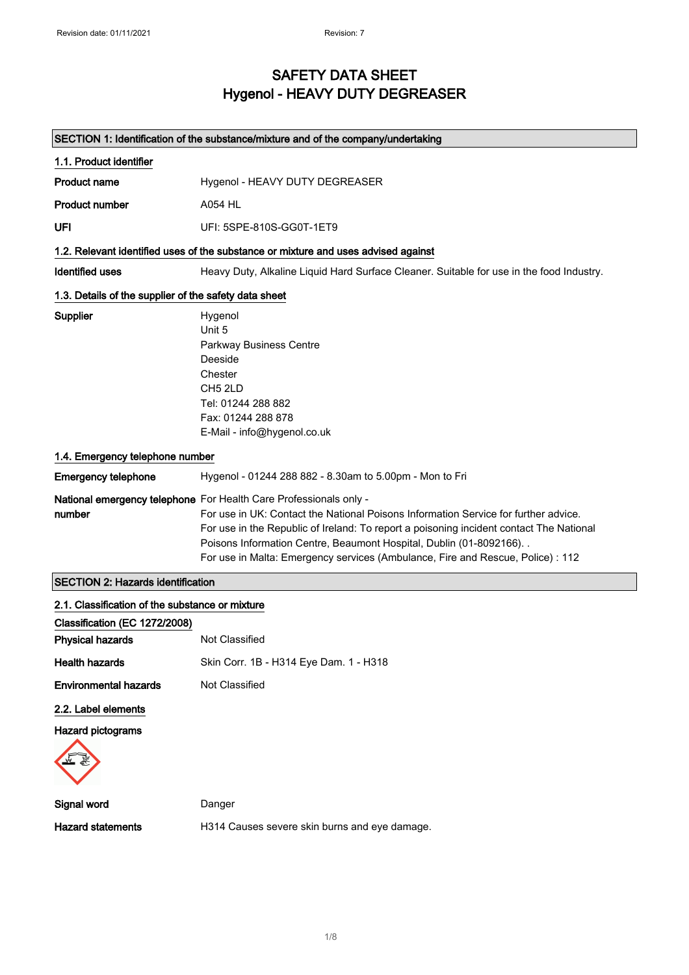### SAFETY DATA SHEET Hygenol - HEAVY DUTY DEGREASER

### SECTION 1: Identification of the substance/mixture and of the company/undertaking

| 1.1. Product identifier                                                                                                                                                                 |                                                                                                                                                                                                                                                                                                                                                                                                                 |  |  |  |
|-----------------------------------------------------------------------------------------------------------------------------------------------------------------------------------------|-----------------------------------------------------------------------------------------------------------------------------------------------------------------------------------------------------------------------------------------------------------------------------------------------------------------------------------------------------------------------------------------------------------------|--|--|--|
| <b>Product name</b>                                                                                                                                                                     | Hygenol - HEAVY DUTY DEGREASER                                                                                                                                                                                                                                                                                                                                                                                  |  |  |  |
| <b>Product number</b>                                                                                                                                                                   | A054 HL                                                                                                                                                                                                                                                                                                                                                                                                         |  |  |  |
| UFI                                                                                                                                                                                     | UFI: 5SPE-810S-GG0T-1ET9                                                                                                                                                                                                                                                                                                                                                                                        |  |  |  |
|                                                                                                                                                                                         | 1.2. Relevant identified uses of the substance or mixture and uses advised against                                                                                                                                                                                                                                                                                                                              |  |  |  |
| <b>Identified uses</b>                                                                                                                                                                  | Heavy Duty, Alkaline Liquid Hard Surface Cleaner. Suitable for use in the food Industry.                                                                                                                                                                                                                                                                                                                        |  |  |  |
| 1.3. Details of the supplier of the safety data sheet                                                                                                                                   |                                                                                                                                                                                                                                                                                                                                                                                                                 |  |  |  |
| Supplier<br>Hygenol<br>Unit 5<br><b>Parkway Business Centre</b><br>Deeside<br>Chester<br>CH <sub>5</sub> 2LD<br>Tel: 01244 288 882<br>Fax: 01244 288 878<br>E-Mail - info@hygenol.co.uk |                                                                                                                                                                                                                                                                                                                                                                                                                 |  |  |  |
| 1.4. Emergency telephone number                                                                                                                                                         |                                                                                                                                                                                                                                                                                                                                                                                                                 |  |  |  |
| <b>Emergency telephone</b>                                                                                                                                                              | Hygenol - 01244 288 882 - 8.30am to 5.00pm - Mon to Fri                                                                                                                                                                                                                                                                                                                                                         |  |  |  |
| number                                                                                                                                                                                  | National emergency telephone For Health Care Professionals only -<br>For use in UK: Contact the National Poisons Information Service for further advice.<br>For use in the Republic of Ireland: To report a poisoning incident contact The National<br>Poisons Information Centre, Beaumont Hospital, Dublin (01-8092166). .<br>For use in Malta: Emergency services (Ambulance, Fire and Rescue, Police) : 112 |  |  |  |

٦

### SECTION 2: Hazards identification

| 2.1. Classification of the substance or mixture |                                               |  |  |  |
|-------------------------------------------------|-----------------------------------------------|--|--|--|
| Classification (EC 1272/2008)                   |                                               |  |  |  |
| <b>Physical hazards</b>                         | Not Classified                                |  |  |  |
| <b>Health hazards</b>                           | Skin Corr. 1B - H314 Eye Dam. 1 - H318        |  |  |  |
| Environmental hazards                           | Not Classified                                |  |  |  |
| 2.2. Label elements                             |                                               |  |  |  |
| <b>Hazard pictograms</b>                        |                                               |  |  |  |
|                                                 |                                               |  |  |  |
| Signal word                                     | Danger                                        |  |  |  |
| <b>Hazard statements</b>                        | H314 Causes severe skin burns and eye damage. |  |  |  |
|                                                 |                                               |  |  |  |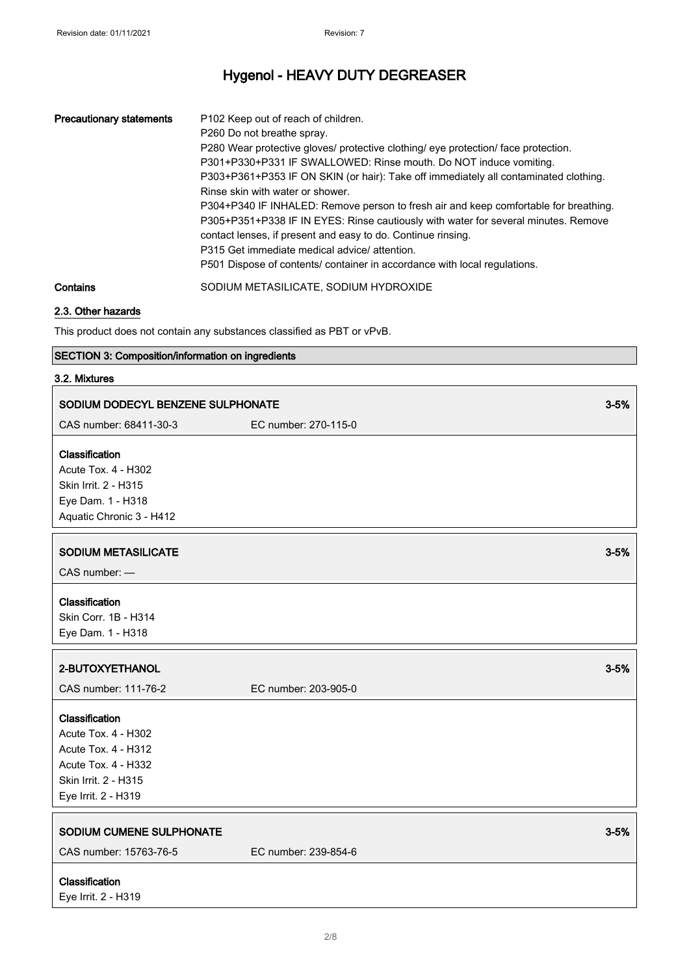| <b>Precautionary statements</b> | P <sub>102</sub> Keep out of reach of children.<br>P260 Do not breathe spray.<br>P280 Wear protective gloves/ protective clothing/ eye protection/ face protection.<br>P301+P330+P331 IF SWALLOWED: Rinse mouth. Do NOT induce vomiting.<br>P303+P361+P353 IF ON SKIN (or hair): Take off immediately all contaminated clothing.<br>Rinse skin with water or shower.<br>P304+P340 IF INHALED: Remove person to fresh air and keep comfortable for breathing.<br>P305+P351+P338 IF IN EYES: Rinse cautiously with water for several minutes. Remove<br>contact lenses, if present and easy to do. Continue rinsing.<br>P315 Get immediate medical advice/attention.<br>P501 Dispose of contents/ container in accordance with local regulations. |
|---------------------------------|-------------------------------------------------------------------------------------------------------------------------------------------------------------------------------------------------------------------------------------------------------------------------------------------------------------------------------------------------------------------------------------------------------------------------------------------------------------------------------------------------------------------------------------------------------------------------------------------------------------------------------------------------------------------------------------------------------------------------------------------------|
| Contains                        | SODIUM METASILICATE, SODIUM HYDROXIDE                                                                                                                                                                                                                                                                                                                                                                                                                                                                                                                                                                                                                                                                                                           |

#### 2.3. Other hazards

This product does not contain any substances classified as PBT or vPvB.

#### SECTION 3: Composition/information on ingredients

#### 3.2. Mixtures

| SODIUM DODECYL BENZENE SULPHONATE                                                                              |                      | $3 - 5%$ |
|----------------------------------------------------------------------------------------------------------------|----------------------|----------|
| CAS number: 68411-30-3                                                                                         | EC number: 270-115-0 |          |
| Classification<br>Acute Tox. 4 - H302<br>Skin Irrit. 2 - H315<br>Eye Dam. 1 - H318<br>Aquatic Chronic 3 - H412 |                      |          |
| <b>SODIUM METASILICATE</b><br>CAS number: -                                                                    |                      | $3 - 5%$ |
| Classification<br>Skin Corr. 1B - H314<br>Eye Dam. 1 - H318                                                    |                      |          |
| 2-BUTOXYETHANOL                                                                                                |                      | $3 - 5%$ |
| CAS number: 111-76-2                                                                                           | EC number: 203-905-0 |          |
| Classification<br>Acute Tox. 4 - H302<br><b>Acute Tox. 4 - H312</b><br>Acute Tox. 4 - H332                     |                      |          |
| Skin Irrit. 2 - H315<br>Eye Irrit. 2 - H319                                                                    |                      |          |
| SODIUM CUMENE SULPHONATE<br>CAS number: 15763-76-5                                                             | EC number: 239-854-6 | $3 - 5%$ |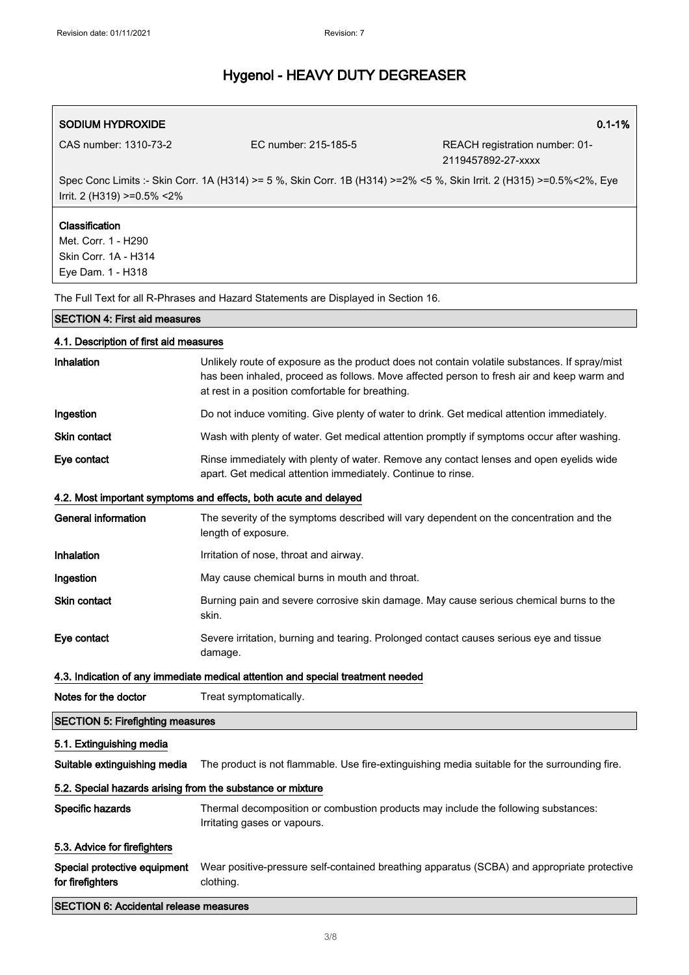| SODIUM HYDROXIDE                |                      | $0.1 - 1%$                                                                                                           |
|---------------------------------|----------------------|----------------------------------------------------------------------------------------------------------------------|
| CAS number: 1310-73-2           | EC number: 215-185-5 | REACH registration number: 01-<br>2119457892-27-xxxx                                                                 |
| Irrit. 2 (H319) $>=0.5\% < 2\%$ |                      | Spec Conc Limits :- Skin Corr. 1A (H314) >= 5 %, Skin Corr. 1B (H314) >=2% <5 %, Skin Irrit. 2 (H315) >=0.5%<2%, Eye |
| <b>Classification</b>           |                      |                                                                                                                      |

Met. Corr. 1 - H290 Skin Corr. 1A - H314 Eye Dam. 1 - H318

The Full Text for all R-Phrases and Hazard Statements are Displayed in Section 16.

#### SECTION 4: First aid measures

| 4.1. Description of first aid measures                     |                                                                                                                                                                                                                                                |  |  |  |  |  |
|------------------------------------------------------------|------------------------------------------------------------------------------------------------------------------------------------------------------------------------------------------------------------------------------------------------|--|--|--|--|--|
| Inhalation                                                 | Unlikely route of exposure as the product does not contain volatile substances. If spray/mist<br>has been inhaled, proceed as follows. Move affected person to fresh air and keep warm and<br>at rest in a position comfortable for breathing. |  |  |  |  |  |
| Ingestion                                                  | Do not induce vomiting. Give plenty of water to drink. Get medical attention immediately.                                                                                                                                                      |  |  |  |  |  |
| Skin contact                                               | Wash with plenty of water. Get medical attention promptly if symptoms occur after washing.                                                                                                                                                     |  |  |  |  |  |
| Eye contact                                                | Rinse immediately with plenty of water. Remove any contact lenses and open eyelids wide<br>apart. Get medical attention immediately. Continue to rinse.                                                                                        |  |  |  |  |  |
|                                                            | 4.2. Most important symptoms and effects, both acute and delayed                                                                                                                                                                               |  |  |  |  |  |
| General information                                        | The severity of the symptoms described will vary dependent on the concentration and the<br>length of exposure.                                                                                                                                 |  |  |  |  |  |
| Inhalation                                                 | Irritation of nose, throat and airway.                                                                                                                                                                                                         |  |  |  |  |  |
| Ingestion                                                  | May cause chemical burns in mouth and throat.                                                                                                                                                                                                  |  |  |  |  |  |
| <b>Skin contact</b>                                        | Burning pain and severe corrosive skin damage. May cause serious chemical burns to the<br>skin.                                                                                                                                                |  |  |  |  |  |
| Eye contact                                                | Severe irritation, burning and tearing. Prolonged contact causes serious eye and tissue<br>damage.                                                                                                                                             |  |  |  |  |  |
|                                                            | 4.3. Indication of any immediate medical attention and special treatment needed                                                                                                                                                                |  |  |  |  |  |
| Notes for the doctor                                       | Treat symptomatically.                                                                                                                                                                                                                         |  |  |  |  |  |
| <b>SECTION 5: Firefighting measures</b>                    |                                                                                                                                                                                                                                                |  |  |  |  |  |
| 5.1. Extinguishing media                                   |                                                                                                                                                                                                                                                |  |  |  |  |  |
| Suitable extinguishing media                               | The product is not flammable. Use fire-extinguishing media suitable for the surrounding fire.                                                                                                                                                  |  |  |  |  |  |
| 5.2. Special hazards arising from the substance or mixture |                                                                                                                                                                                                                                                |  |  |  |  |  |
| Specific hazards                                           | Thermal decomposition or combustion products may include the following substances:<br>Irritating gases or vapours.                                                                                                                             |  |  |  |  |  |
| 5.3. Advice for firefighters                               |                                                                                                                                                                                                                                                |  |  |  |  |  |
| Special protective equipment<br>for firefighters           | Wear positive-pressure self-contained breathing apparatus (SCBA) and appropriate protective<br>clothing.                                                                                                                                       |  |  |  |  |  |
| <b>SECTION 6: Accidental release measures</b>              |                                                                                                                                                                                                                                                |  |  |  |  |  |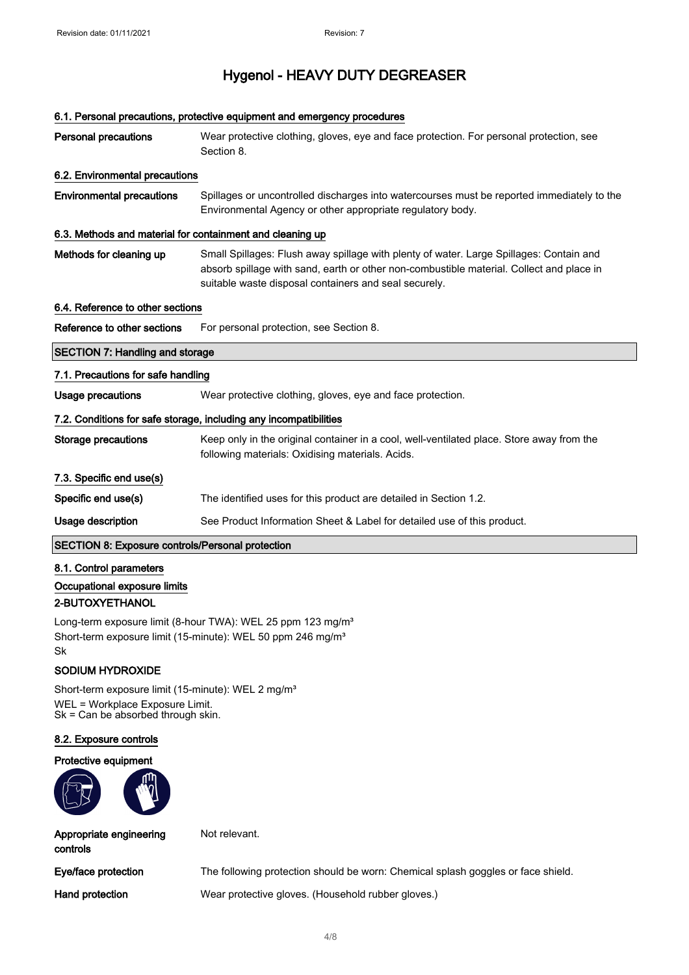## 6.1. Personal precautions, protective equipment and emergency procedures Personal precautions Wear protective clothing, gloves, eye and face protection. For personal protection, see Section 8. 6.2. Environmental precautions Environmental precautions Spillages or uncontrolled discharges into watercourses must be reported immediately to the Environmental Agency or other appropriate regulatory body. 6.3. Methods and material for containment and cleaning up Methods for cleaning up Small Spillages: Flush away spillage with plenty of water. Large Spillages: Contain and absorb spillage with sand, earth or other non-combustible material. Collect and place in suitable waste disposal containers and seal securely. 6.4. Reference to other sections Reference to other sections For personal protection, see Section 8. SECTION 7: Handling and storage 7.1. Precautions for safe handling Usage precautions **Wear protective clothing, gloves, eye and face protection.** 7.2. Conditions for safe storage, including any incompatibilities Storage precautions Keep only in the original container in a cool, well-ventilated place. Store away from the following materials: Oxidising materials. Acids. 7.3. Specific end use(s) Specific end use(s) The identified uses for this product are detailed in Section 1.2. Usage description See Product Information Sheet & Label for detailed use of this product. SECTION 8: Exposure controls/Personal protection

8.1. Control parameters Occupational exposure limits 2-BUTOXYETHANOL

Long-term exposure limit (8-hour TWA): WEL 25 ppm 123 mg/m<sup>3</sup> Short-term exposure limit (15-minute): WEL 50 ppm 246 mg/m<sup>3</sup> Sk

#### SODIUM HYDROXIDE

Short-term exposure limit (15-minute): WEL 2 mg/m<sup>3</sup> WEL = Workplace Exposure Limit. Sk = Can be absorbed through skin.

#### 8.2. Exposure controls

#### Protective equipment



Not relevant.

controls

Appropriate engineering

Eye/face protection The following protection should be worn: Chemical splash goggles or face shield.

Hand protection Wear protective gloves. (Household rubber gloves.)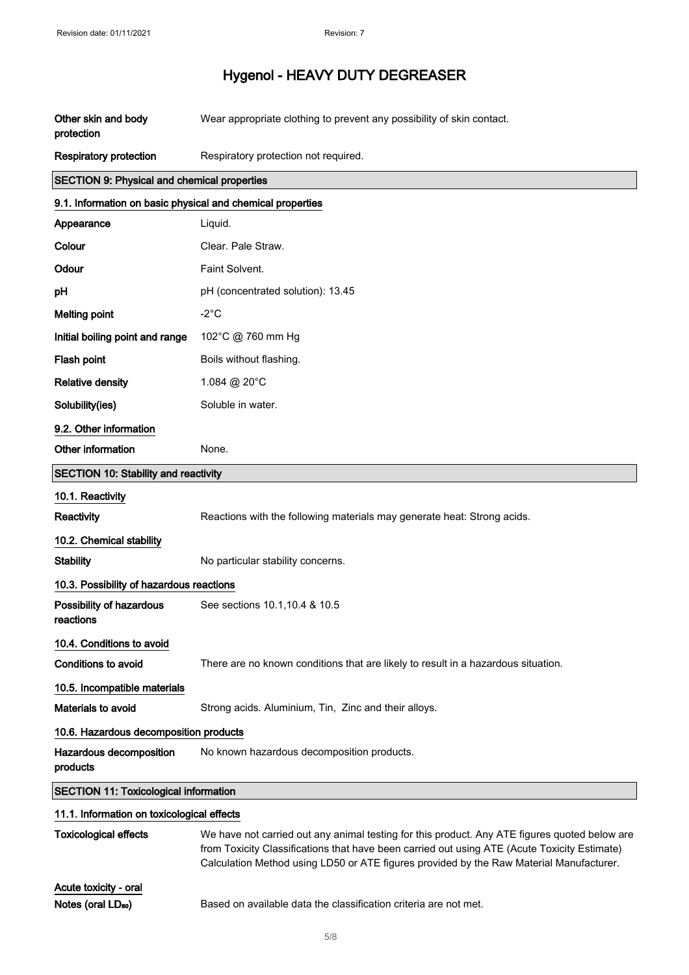| Other skin and body<br>protection                          | Wear appropriate clothing to prevent any possibility of skin contact.                                                                                                                                                                                                                    |
|------------------------------------------------------------|------------------------------------------------------------------------------------------------------------------------------------------------------------------------------------------------------------------------------------------------------------------------------------------|
| <b>Respiratory protection</b>                              | Respiratory protection not required.                                                                                                                                                                                                                                                     |
| <b>SECTION 9: Physical and chemical properties</b>         |                                                                                                                                                                                                                                                                                          |
| 9.1. Information on basic physical and chemical properties |                                                                                                                                                                                                                                                                                          |
| Appearance                                                 | Liquid.                                                                                                                                                                                                                                                                                  |
| Colour                                                     | Clear. Pale Straw.                                                                                                                                                                                                                                                                       |
| Odour                                                      | Faint Solvent.                                                                                                                                                                                                                                                                           |
| рH                                                         | pH (concentrated solution): 13.45                                                                                                                                                                                                                                                        |
| <b>Melting point</b>                                       | $-2^{\circ}$ C                                                                                                                                                                                                                                                                           |
| Initial boiling point and range                            | 102°C @ 760 mm Hg                                                                                                                                                                                                                                                                        |
| Flash point                                                | Boils without flashing.                                                                                                                                                                                                                                                                  |
| <b>Relative density</b>                                    | 1.084 @ 20°C                                                                                                                                                                                                                                                                             |
| Solubility(ies)                                            | Soluble in water.                                                                                                                                                                                                                                                                        |
| 9.2. Other information                                     |                                                                                                                                                                                                                                                                                          |
| Other information                                          | None.                                                                                                                                                                                                                                                                                    |
| <b>SECTION 10: Stability and reactivity</b>                |                                                                                                                                                                                                                                                                                          |
| 10.1. Reactivity                                           |                                                                                                                                                                                                                                                                                          |
| Reactivity                                                 | Reactions with the following materials may generate heat: Strong acids.                                                                                                                                                                                                                  |
| 10.2. Chemical stability                                   |                                                                                                                                                                                                                                                                                          |
| <b>Stability</b>                                           | No particular stability concerns.                                                                                                                                                                                                                                                        |
| 10.3. Possibility of hazardous reactions                   |                                                                                                                                                                                                                                                                                          |
| Possibility of hazardous<br>reactions                      | See sections 10.1, 10.4 & 10.5                                                                                                                                                                                                                                                           |
| 10.4. Conditions to avoid                                  |                                                                                                                                                                                                                                                                                          |
| <b>Conditions to avoid</b>                                 | There are no known conditions that are likely to result in a hazardous situation.                                                                                                                                                                                                        |
| 10.5. Incompatible materials                               |                                                                                                                                                                                                                                                                                          |
| <b>Materials to avoid</b>                                  | Strong acids. Aluminium, Tin, Zinc and their alloys.                                                                                                                                                                                                                                     |
| 10.6. Hazardous decomposition products                     |                                                                                                                                                                                                                                                                                          |
| Hazardous decomposition<br>products                        | No known hazardous decomposition products.                                                                                                                                                                                                                                               |
| <b>SECTION 11: Toxicological information</b>               |                                                                                                                                                                                                                                                                                          |
| 11.1. Information on toxicological effects                 |                                                                                                                                                                                                                                                                                          |
| <b>Toxicological effects</b>                               | We have not carried out any animal testing for this product. Any ATE figures quoted below are<br>from Toxicity Classifications that have been carried out using ATE (Acute Toxicity Estimate)<br>Calculation Method using LD50 or ATE figures provided by the Raw Material Manufacturer. |
| Acute toxicity - oral                                      |                                                                                                                                                                                                                                                                                          |

Notes (oral LD<sub>so</sub>) Based on available data the classification criteria are not met.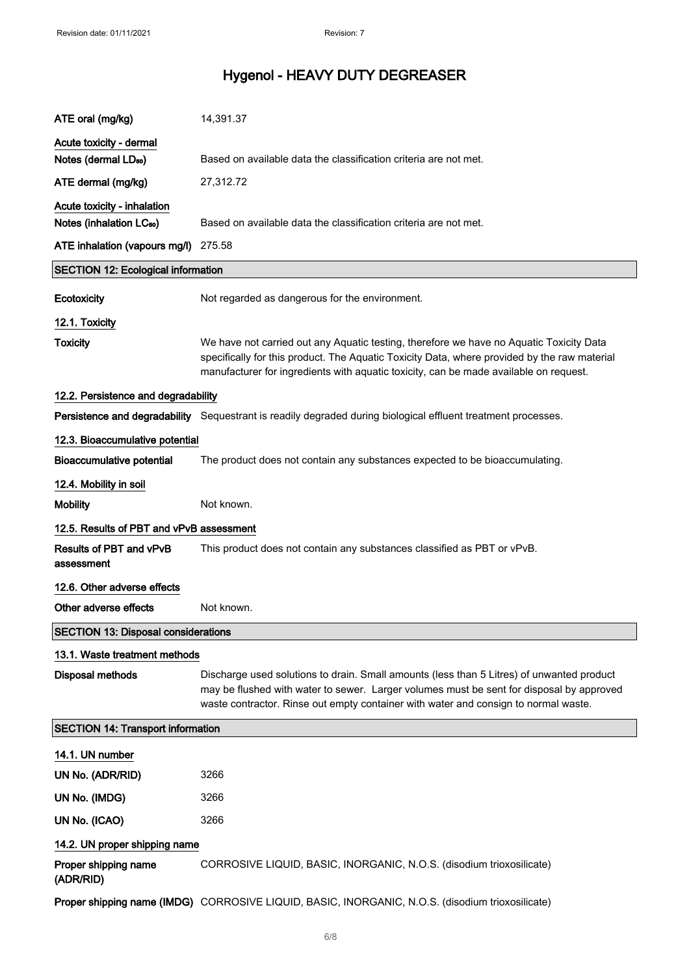| ATE oral (mg/kg)                             | 14,391.37                                                                                                                                                                                                                                                                        |  |  |  |  |
|----------------------------------------------|----------------------------------------------------------------------------------------------------------------------------------------------------------------------------------------------------------------------------------------------------------------------------------|--|--|--|--|
| Acute toxicity - dermal                      |                                                                                                                                                                                                                                                                                  |  |  |  |  |
| Notes (dermal LD <sub>50</sub> )             | Based on available data the classification criteria are not met.                                                                                                                                                                                                                 |  |  |  |  |
| ATE dermal (mg/kg)                           | 27,312.72                                                                                                                                                                                                                                                                        |  |  |  |  |
| Acute toxicity - inhalation                  |                                                                                                                                                                                                                                                                                  |  |  |  |  |
| Notes (inhalation LC <sub>50</sub> )         | Based on available data the classification criteria are not met.                                                                                                                                                                                                                 |  |  |  |  |
| ATE inhalation (vapours mg/l)                | 275.58                                                                                                                                                                                                                                                                           |  |  |  |  |
| <b>SECTION 12: Ecological information</b>    |                                                                                                                                                                                                                                                                                  |  |  |  |  |
| Ecotoxicity                                  | Not regarded as dangerous for the environment.                                                                                                                                                                                                                                   |  |  |  |  |
| 12.1. Toxicity                               |                                                                                                                                                                                                                                                                                  |  |  |  |  |
| <b>Toxicity</b>                              | We have not carried out any Aquatic testing, therefore we have no Aquatic Toxicity Data<br>specifically for this product. The Aquatic Toxicity Data, where provided by the raw material<br>manufacturer for ingredients with aquatic toxicity, can be made available on request. |  |  |  |  |
| 12.2. Persistence and degradability          |                                                                                                                                                                                                                                                                                  |  |  |  |  |
|                                              | Persistence and degradability Sequestrant is readily degraded during biological effluent treatment processes.                                                                                                                                                                    |  |  |  |  |
| 12.3. Bioaccumulative potential              |                                                                                                                                                                                                                                                                                  |  |  |  |  |
| <b>Bioaccumulative potential</b>             | The product does not contain any substances expected to be bioaccumulating.                                                                                                                                                                                                      |  |  |  |  |
| 12.4. Mobility in soil                       |                                                                                                                                                                                                                                                                                  |  |  |  |  |
| <b>Mobility</b>                              | Not known.                                                                                                                                                                                                                                                                       |  |  |  |  |
| 12.5. Results of PBT and vPvB assessment     |                                                                                                                                                                                                                                                                                  |  |  |  |  |
| <b>Results of PBT and vPvB</b><br>assessment | This product does not contain any substances classified as PBT or vPvB.                                                                                                                                                                                                          |  |  |  |  |
| 12.6. Other adverse effects                  |                                                                                                                                                                                                                                                                                  |  |  |  |  |
| Other adverse effects                        | Not known.                                                                                                                                                                                                                                                                       |  |  |  |  |
| <b>SECTION 13: Disposal considerations</b>   |                                                                                                                                                                                                                                                                                  |  |  |  |  |
| 13.1. Waste treatment methods                |                                                                                                                                                                                                                                                                                  |  |  |  |  |
| <b>Disposal methods</b>                      | Discharge used solutions to drain. Small amounts (less than 5 Litres) of unwanted product<br>may be flushed with water to sewer. Larger volumes must be sent for disposal by approved<br>waste contractor. Rinse out empty container with water and consign to normal waste.     |  |  |  |  |
| <b>SECTION 14: Transport information</b>     |                                                                                                                                                                                                                                                                                  |  |  |  |  |
| 14.1. UN number                              |                                                                                                                                                                                                                                                                                  |  |  |  |  |
| UN No. (ADR/RID)                             | 3266                                                                                                                                                                                                                                                                             |  |  |  |  |
| UN No. (IMDG)                                | 3266                                                                                                                                                                                                                                                                             |  |  |  |  |
| UN No. (ICAO)                                | 3266                                                                                                                                                                                                                                                                             |  |  |  |  |
| 14.2. UN proper shipping name                |                                                                                                                                                                                                                                                                                  |  |  |  |  |
| Proper shipping name<br>(ADR/RID)            | CORROSIVE LIQUID, BASIC, INORGANIC, N.O.S. (disodium trioxosilicate)                                                                                                                                                                                                             |  |  |  |  |
|                                              | Proper shipping name (IMDG) CORROSIVE LIQUID, BASIC, INORGANIC, N.O.S. (disodium trioxosilicate)                                                                                                                                                                                 |  |  |  |  |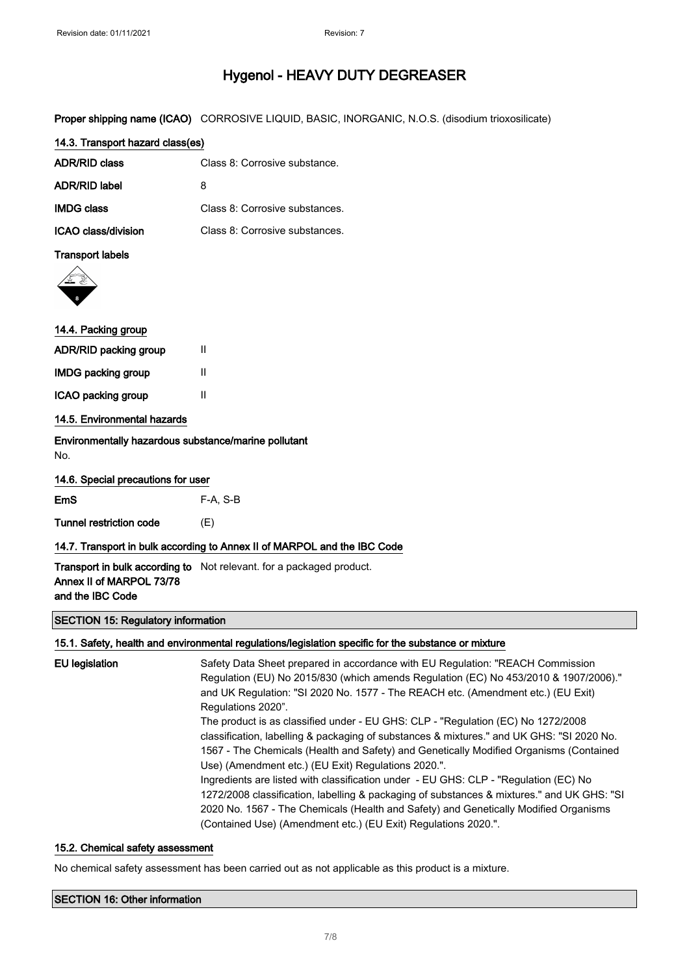Proper shipping name (ICAO) CORROSIVE LIQUID, BASIC, INORGANIC, N.O.S. (disodium trioxosilicate)

| 14.3. Transport hazard class(es) |                                |  |  |  |
|----------------------------------|--------------------------------|--|--|--|
| ADR/RID class                    | Class 8: Corrosive substance.  |  |  |  |
| ADR/RID label                    | 8                              |  |  |  |
| <b>IMDG class</b>                | Class 8: Corrosive substances. |  |  |  |
| ICAO class/division              | Class 8: Corrosive substances. |  |  |  |

#### Transport labels



| 14.4. Packing group |  |
|---------------------|--|
|                     |  |

| ADR/RID packing group       | Ш |
|-----------------------------|---|
| <b>IMDG packing group</b>   | Ш |
| ICAO packing group          | Ш |
| 14.5. Environmental hazards |   |

Environmentally hazardous substance/marine pollutant No.

|            | 14.6. Special precautions for user |          |  |
|------------|------------------------------------|----------|--|
| <b>EmS</b> |                                    | F-A. S-B |  |

Tunnel restriction code (E)

#### 14.7. Transport in bulk according to Annex II of MARPOL and the IBC Code

**Transport in bulk according to** Not relevant. for a packaged product. Annex II of MARPOL 73/78 and the IBC Code

#### SECTION 15: Regulatory information

#### 15.1. Safety, health and environmental regulations/legislation specific for the substance or mixture

| EU legislation | Safety Data Sheet prepared in accordance with EU Regulation: "REACH Commission<br>Regulation (EU) No 2015/830 (which amends Regulation (EC) No 453/2010 & 1907/2006)."<br>and UK Regulation: "SI 2020 No. 1577 - The REACH etc. (Amendment etc.) (EU Exit)<br>Regulations 2020".<br>The product is as classified under - EU GHS: CLP - "Regulation (EC) No 1272/2008<br>classification, labelling & packaging of substances & mixtures." and UK GHS: "SI 2020 No.<br>1567 - The Chemicals (Health and Safety) and Genetically Modified Organisms (Contained<br>Use) (Amendment etc.) (EU Exit) Regulations 2020.".<br>Ingredients are listed with classification under - EU GHS: CLP - "Regulation (EC) No<br>1272/2008 classification, labelling & packaging of substances & mixtures." and UK GHS: "SI<br>2020 No. 1567 - The Chemicals (Health and Safety) and Genetically Modified Organisms |
|----------------|--------------------------------------------------------------------------------------------------------------------------------------------------------------------------------------------------------------------------------------------------------------------------------------------------------------------------------------------------------------------------------------------------------------------------------------------------------------------------------------------------------------------------------------------------------------------------------------------------------------------------------------------------------------------------------------------------------------------------------------------------------------------------------------------------------------------------------------------------------------------------------------------------|
|                | (Contained Use) (Amendment etc.) (EU Exit) Regulations 2020.".                                                                                                                                                                                                                                                                                                                                                                                                                                                                                                                                                                                                                                                                                                                                                                                                                                   |

#### 15.2. Chemical safety assessment

No chemical safety assessment has been carried out as not applicable as this product is a mixture.

| <b>SECTION 16: Other information</b> |  |
|--------------------------------------|--|
|--------------------------------------|--|